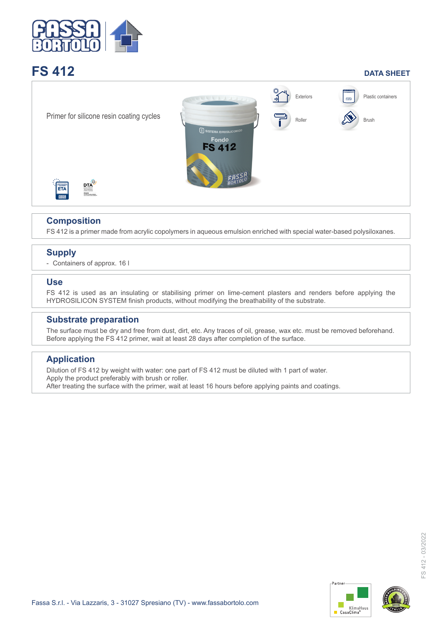

# **FS 412** DATA SHEET



# **Composition**

FS 412 is a primer made from acrylic copolymers in aqueous emulsion enriched with special water-based polysiloxanes.

# **Supply**

- Containers of approx. 16 l

#### **Use**

FS 412 is used as an insulating or stabilising primer on lime-cement plasters and renders before applying the HYDROSILICON SYSTEM finish products, without modifying the breathability of the substrate.

#### **Substrate preparation**

The surface must be dry and free from dust, dirt, etc. Any traces of oil, grease, wax etc. must be removed beforehand. Before applying the FS 412 primer, wait at least 28 days after completion of the surface.

### **Application**

Dilution of FS 412 by weight with water: one part of FS 412 must be diluted with 1 part of water. Apply the product preferably with brush or roller. After treating the surface with the primer, wait at least 16 hours before applying paints and coatings.